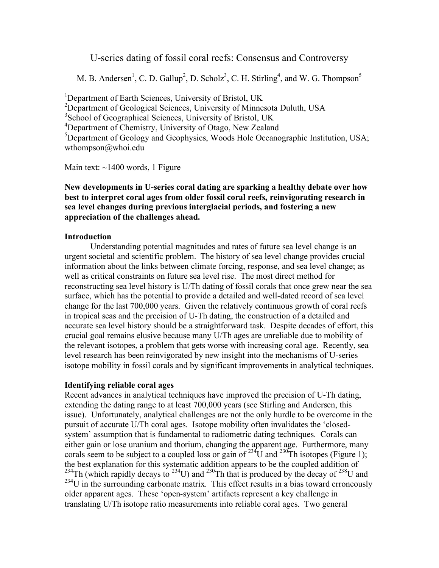## U-series dating of fossil coral reefs: Consensus and Controversy

M. B. Andersen<sup>1</sup>, C. D. Gallup<sup>2</sup>, D. Scholz<sup>3</sup>, C. H. Stirling<sup>4</sup>, and W. G. Thompson<sup>5</sup>

<sup>1</sup>Department of Earth Sciences, University of Bristol, UK <sup>2</sup>Department of Geological Sciences, University of Minnesota Duluth, USA <sup>3</sup>School of Geographical Sciences, University of Bristol, UK <sup>4</sup>Department of Chemistry, University of Otago, New Zealand <sup>5</sup>Department of Geology and Geophysics, Woods Hole Oceanographic Institution, USA; wthompson@whoi.edu

Main text:  $\sim$ 1400 words, 1 Figure

### **New developments in U-series coral dating are sparking a healthy debate over how best to interpret coral ages from older fossil coral reefs, reinvigorating research in sea level changes during previous interglacial periods, and fostering a new appreciation of the challenges ahead.**

#### **Introduction**

Understanding potential magnitudes and rates of future sea level change is an urgent societal and scientific problem. The history of sea level change provides crucial information about the links between climate forcing, response, and sea level change; as well as critical constraints on future sea level rise. The most direct method for reconstructing sea level history is U/Th dating of fossil corals that once grew near the sea surface, which has the potential to provide a detailed and well-dated record of sea level change for the last 700,000 years. Given the relatively continuous growth of coral reefs in tropical seas and the precision of U-Th dating, the construction of a detailed and accurate sea level history should be a straightforward task. Despite decades of effort, this crucial goal remains elusive because many U/Th ages are unreliable due to mobility of the relevant isotopes, a problem that gets worse with increasing coral age. Recently, sea level research has been reinvigorated by new insight into the mechanisms of U-series isotope mobility in fossil corals and by significant improvements in analytical techniques.

#### **Identifying reliable coral ages**

Recent advances in analytical techniques have improved the precision of U-Th dating, extending the dating range to at least 700,000 years (see Stirling and Andersen, this issue). Unfortunately, analytical challenges are not the only hurdle to be overcome in the pursuit of accurate U/Th coral ages. Isotope mobility often invalidates the 'closedsystem' assumption that is fundamental to radiometric dating techniques. Corals can either gain or lose uranium and thorium, changing the apparent age. Furthermore, many corals seem to be subject to a coupled loss or gain of <sup>234</sup>U and <sup>230</sup>Th isotopes (Figure 1); the best explanation for this systematic addition appears to be the coupled addition of <sup>234</sup>Th (which rapidly decays to <sup>234</sup>U) and <sup>230</sup>Th that is produced by the decay of <sup>238</sup>U and  $^{234}$ U in the surrounding carbonate matrix. This effect results in a bias toward erroneously older apparent ages. These 'open-system' artifacts represent a key challenge in translating U/Th isotope ratio measurements into reliable coral ages. Two general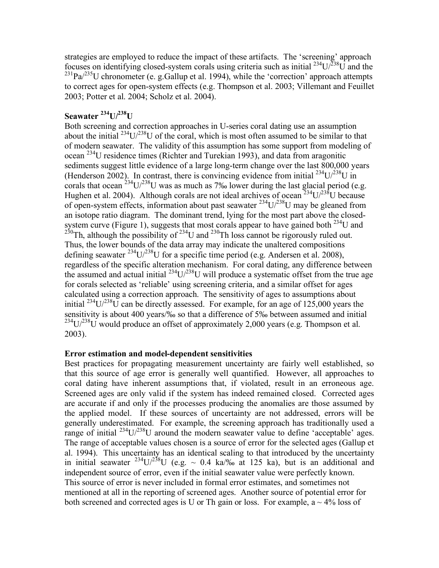strategies are employed to reduce the impact of these artifacts. The 'screening' approach focuses on identifying closed-system corals using criteria such as initial  $^{234}U^{238}U$  and the  $^{231}$ Pa/ $^{235}$ U chronometer (e. g. Gallup et al. 1994), while the 'correction' approach attempts to correct ages for open-system effects (e.g. Thompson et al. 2003; Villemant and Feuillet 2003; Potter et al. 2004; Scholz et al. 2004).

# **Seawater <sup>234</sup> U/ 238 U**

Both screening and correction approaches in U-series coral dating use an assumption about the initial  $^{234}$ U/ $^{238}$ U of the coral, which is most often assumed to be similar to that of modern seawater. The validity of this assumption has some support from modeling of ocean <sup>234</sup>U residence times (Richter and Turekian 1993), and data from aragonitic sediments suggest little evidence of a large long-term change over the last 800,000 years (Henderson 2002). In contrast, there is convincing evidence from initial  $^{234}U/^{238}U$  in corals that ocean  $^{234}$ U/ $^{238}$ U was as much as 7‰ lower during the last glacial period (e.g. Hughen et al. 2004). Although corals are not ideal archives of ocean  $^{234}U/^{238}U$  because of open-system effects, information about past seawater  $^{234}U^{238}U$  may be gleaned from an isotope ratio diagram. The dominant trend, lying for the most part above the closedsystem curve (Figure 1), suggests that most corals appear to have gained both  $^{234}$ U and <sup>230</sup>Th, although the possibility of <sup>234</sup>U and <sup>230</sup>Th loss cannot be rigorously ruled out. Thus, the lower bounds of the data array may indicate the unaltered compositions defining seawater  $^{234}$ U/ $^{238}$ U for a specific time period (e.g. Andersen et al. 2008), regardless of the specific alteration mechanism. For coral dating, any difference between the assumed and actual initial  $^{234}$ U/ $^{238}$ U will produce a systematic offset from the true age for corals selected as 'reliable' using screening criteria, and a similar offset for ages calculated using a correction approach. The sensitivity of ages to assumptions about initial  $^{234}$ U/ $^{238}$ U can be directly assessed. For example, for an age of 125,000 years the sensitivity is about 400 years/‰ so that a difference of 5‰ between assumed and initial  $^{234}$ U/ $^{238}$ U would produce an offset of approximately 2,000 years (e.g. Thompson et al. 2003).

#### **Error estimation and model-dependent sensitivities**

Best practices for propagating measurement uncertainty are fairly well established, so that this source of age error is generally well quantified. However, all approaches to coral dating have inherent assumptions that, if violated, result in an erroneous age. Screened ages are only valid if the system has indeed remained closed. Corrected ages are accurate if and only if the processes producing the anomalies are those assumed by the applied model. If these sources of uncertainty are not addressed, errors will be generally underestimated. For example, the screening approach has traditionally used a range of initial  $^{234}$ U/ $^{238}$ U around the modern seawater value to define 'acceptable' ages. The range of acceptable values chosen is a source of error for the selected ages (Gallup et al. 1994). This uncertainty has an identical scaling to that introduced by the uncertainty in initial seawater <sup>234</sup>U/<sup>238</sup>U (e.g. ~ 0.4 ka/‰ at 125 ka), but is an additional and independent source of error, even if the initial seawater value were perfectly known. This source of error is never included in formal error estimates, and sometimes not mentioned at all in the reporting of screened ages. Another source of potential error for both screened and corrected ages is U or Th gain or loss. For example,  $a \sim 4\%$  loss of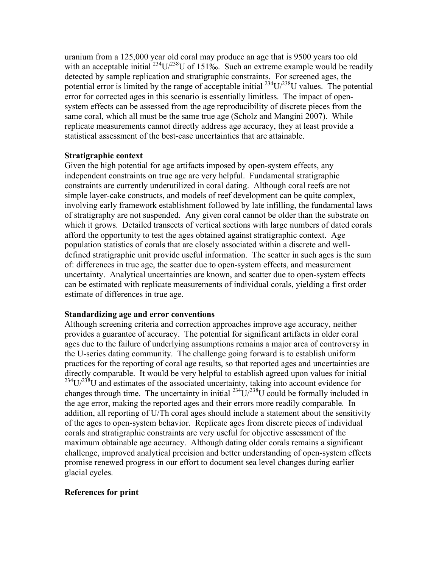uranium from a 125,000 year old coral may produce an age that is 9500 years too old with an acceptable initial  $^{234}U/^{238}U$  of 151‰. Such an extreme example would be readily detected by sample replication and stratigraphic constraints. For screened ages, the potential error is limited by the range of acceptable initial  $^{234}U/^{238}U$  values. The potential error for corrected ages in this scenario is essentially limitless. The impact of opensystem effects can be assessed from the age reproducibility of discrete pieces from the same coral, which all must be the same true age (Scholz and Mangini 2007). While replicate measurements cannot directly address age accuracy, they at least provide a statistical assessment of the best-case uncertainties that are attainable.

#### **Stratigraphic context**

Given the high potential for age artifacts imposed by open-system effects, any independent constraints on true age are very helpful. Fundamental stratigraphic constraints are currently underutilized in coral dating. Although coral reefs are not simple layer-cake constructs, and models of reef development can be quite complex, involving early framework establishment followed by late infilling, the fundamental laws of stratigraphy are not suspended. Any given coral cannot be older than the substrate on which it grows. Detailed transects of vertical sections with large numbers of dated corals afford the opportunity to test the ages obtained against stratigraphic context. Age population statistics of corals that are closely associated within a discrete and welldefined stratigraphic unit provide useful information. The scatter in such ages is the sum of: differences in true age, the scatter due to open-system effects, and measurement uncertainty. Analytical uncertainties are known, and scatter due to open-system effects can be estimated with replicate measurements of individual corals, yielding a first order estimate of differences in true age.

#### **Standardizing age and error conventions**

Although screening criteria and correction approaches improve age accuracy, neither provides a guarantee of accuracy. The potential for significant artifacts in older coral ages due to the failure of underlying assumptions remains a major area of controversy in the U-series dating community. The challenge going forward is to establish uniform practices for the reporting of coral age results, so that reported ages and uncertainties are directly comparable. It would be very helpful to establish agreed upon values for initial  $^{234}$ U/ $^{238}$ U and estimates of the associated uncertainty, taking into account evidence for changes through time. The uncertainty in initial  $^{234}U/^{238}U$  could be formally included in the age error, making the reported ages and their errors more readily comparable. In addition, all reporting of U/Th coral ages should include a statement about the sensitivity of the ages to open-system behavior. Replicate ages from discrete pieces of individual corals and stratigraphic constraints are very useful for objective assessment of the maximum obtainable age accuracy. Although dating older corals remains a significant challenge, improved analytical precision and better understanding of open-system effects promise renewed progress in our effort to document sea level changes during earlier glacial cycles.

#### **References for print**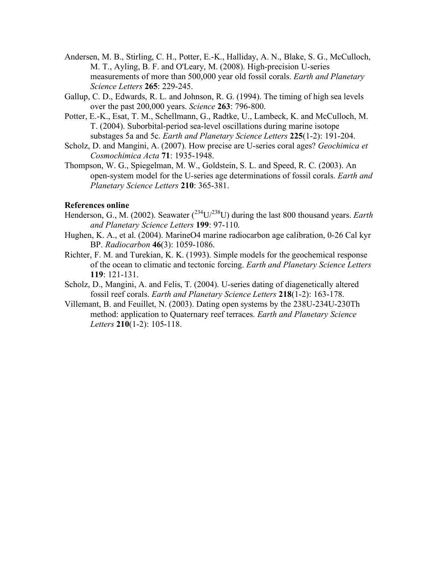- Andersen, M. B., Stirling, C. H., Potter, E.-K., Halliday, A. N., Blake, S. G., McCulloch, M. T., Ayling, B. F. and O'Leary, M. (2008). High-precision U-series measurements of more than 500,000 year old fossil corals. *Earth and Planetary Science Letters* **265**: 229-245.
- Gallup, C. D., Edwards, R. L. and Johnson, R. G. (1994). The timing of high sea levels over the past 200,000 years. *Science* **263**: 796-800.
- Potter, E.-K., Esat, T. M., Schellmann, G., Radtke, U., Lambeck, K. and McCulloch, M. T. (2004). Suborbital-period sea-level oscillations during marine isotope substages 5a and 5c. *Earth and Planetary Science Letters* **225**(1-2): 191-204.
- Scholz, D. and Mangini, A. (2007). How precise are U-series coral ages? *Geochimica et Cosmochimica Acta* **71**: 1935-1948.
- Thompson, W. G., Spiegelman, M. W., Goldstein, S. L. and Speed, R. C. (2003). An open-system model for the U-series age determinations of fossil corals. *Earth and Planetary Science Letters* **210**: 365-381.

#### **References online**

- Henderson, G., M. (2002). Seawater (<sup>234</sup>U/<sup>238</sup>U) during the last 800 thousand years. *Earth and Planetary Science Letters* **199**: 97-110.
- Hughen, K. A., et al. (2004). MarineO4 marine radiocarbon age calibration, 0-26 Cal kyr BP. *Radiocarbon* **46**(3): 1059-1086.
- Richter, F. M. and Turekian, K. K. (1993). Simple models for the geochemical response of the ocean to climatic and tectonic forcing. *Earth and Planetary Science Letters* **119**: 121-131.
- Scholz, D., Mangini, A. and Felis, T. (2004). U-series dating of diagenetically altered fossil reef corals. *Earth and Planetary Science Letters* **218**(1-2): 163-178.
- Villemant, B. and Feuillet, N. (2003). Dating open systems by the 238U-234U-230Th method: application to Quaternary reef terraces. *Earth and Planetary Science Letters* **210**(1-2): 105-118.